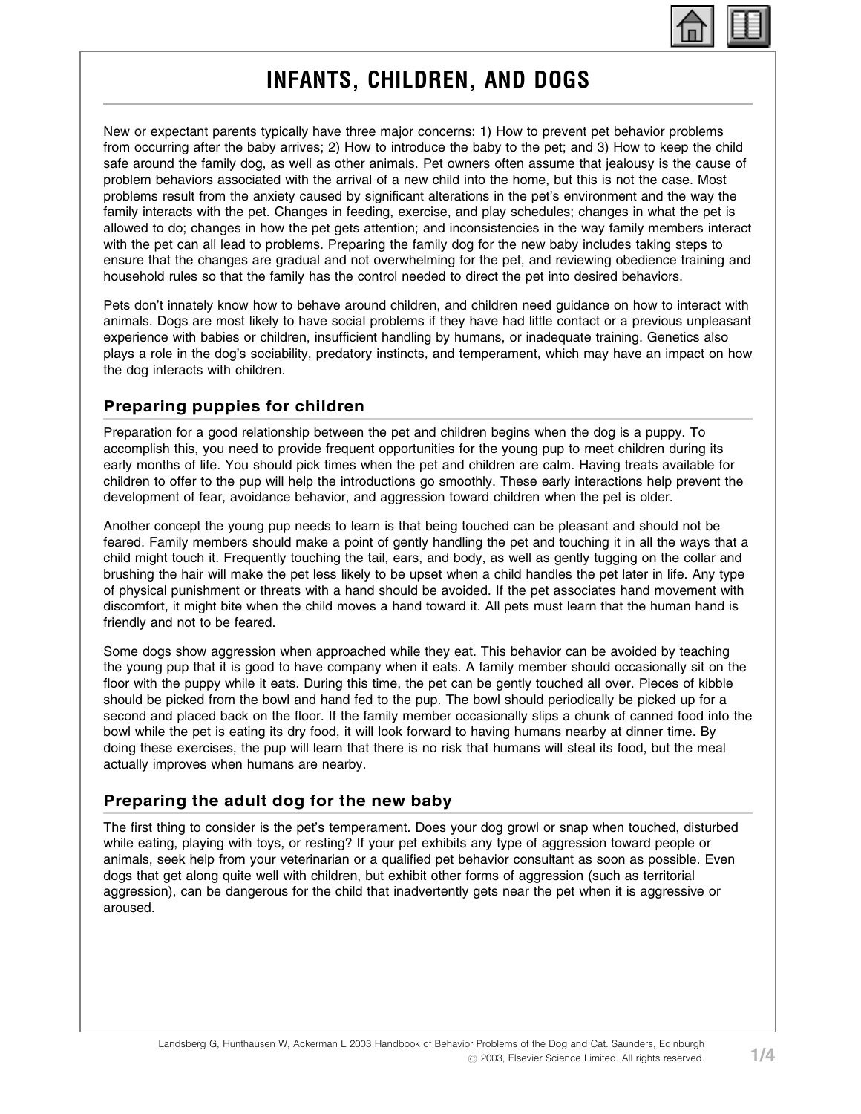

# INFANTS, CHILDREN, AND DOGS

New or expectant parents typically have three major concerns: 1) How to prevent pet behavior problems from occurring after the baby arrives; 2) How to introduce the baby to the pet; and 3) How to keep the child safe around the family dog, as well as other animals. Pet owners often assume that jealousy is the cause of problem behaviors associated with the arrival of a new child into the home, but this is not the case. Most problems result from the anxiety caused by significant alterations in the pet's environment and the way the family interacts with the pet. Changes in feeding, exercise, and play schedules; changes in what the pet is allowed to do; changes in how the pet gets attention; and inconsistencies in the way family members interact with the pet can all lead to problems. Preparing the family dog for the new baby includes taking steps to ensure that the changes are gradual and not overwhelming for the pet, and reviewing obedience training and household rules so that the family has the control needed to direct the pet into desired behaviors.

Pets don't innately know how to behave around children, and children need guidance on how to interact with animals. Dogs are most likely to have social problems if they have had little contact or a previous unpleasant experience with babies or children, insufficient handling by humans, or inadequate training. Genetics also plays a role in the dog's sociability, predatory instincts, and temperament, which may have an impact on how the dog interacts with children.

# Preparing puppies for children

Preparation for a good relationship between the pet and children begins when the dog is a puppy. To accomplish this, you need to provide frequent opportunities for the young pup to meet children during its early months of life. You should pick times when the pet and children are calm. Having treats available for children to offer to the pup will help the introductions go smoothly. These early interactions help prevent the development of fear, avoidance behavior, and aggression toward children when the pet is older.

Another concept the young pup needs to learn is that being touched can be pleasant and should not be feared. Family members should make a point of gently handling the pet and touching it in all the ways that a child might touch it. Frequently touching the tail, ears, and body, as well as gently tugging on the collar and brushing the hair will make the pet less likely to be upset when a child handles the pet later in life. Any type of physical punishment or threats with a hand should be avoided. If the pet associates hand movement with discomfort, it might bite when the child moves a hand toward it. All pets must learn that the human hand is friendly and not to be feared.

Some dogs show aggression when approached while they eat. This behavior can be avoided by teaching the young pup that it is good to have company when it eats. A family member should occasionally sit on the floor with the puppy while it eats. During this time, the pet can be gently touched all over. Pieces of kibble should be picked from the bowl and hand fed to the pup. The bowl should periodically be picked up for a second and placed back on the floor. If the family member occasionally slips a chunk of canned food into the bowl while the pet is eating its dry food, it will look forward to having humans nearby at dinner time. By doing these exercises, the pup will learn that there is no risk that humans will steal its food, but the meal actually improves when humans are nearby.

# Preparing the adult dog for the new baby

The first thing to consider is the pet's temperament. Does your dog growl or snap when touched, disturbed while eating, playing with toys, or resting? If your pet exhibits any type of aggression toward people or animals, seek help from your veterinarian or a qualified pet behavior consultant as soon as possible. Even dogs that get along quite well with children, but exhibit other forms of aggression (such as territorial aggression), can be dangerous for the child that inadvertently gets near the pet when it is aggressive or aroused.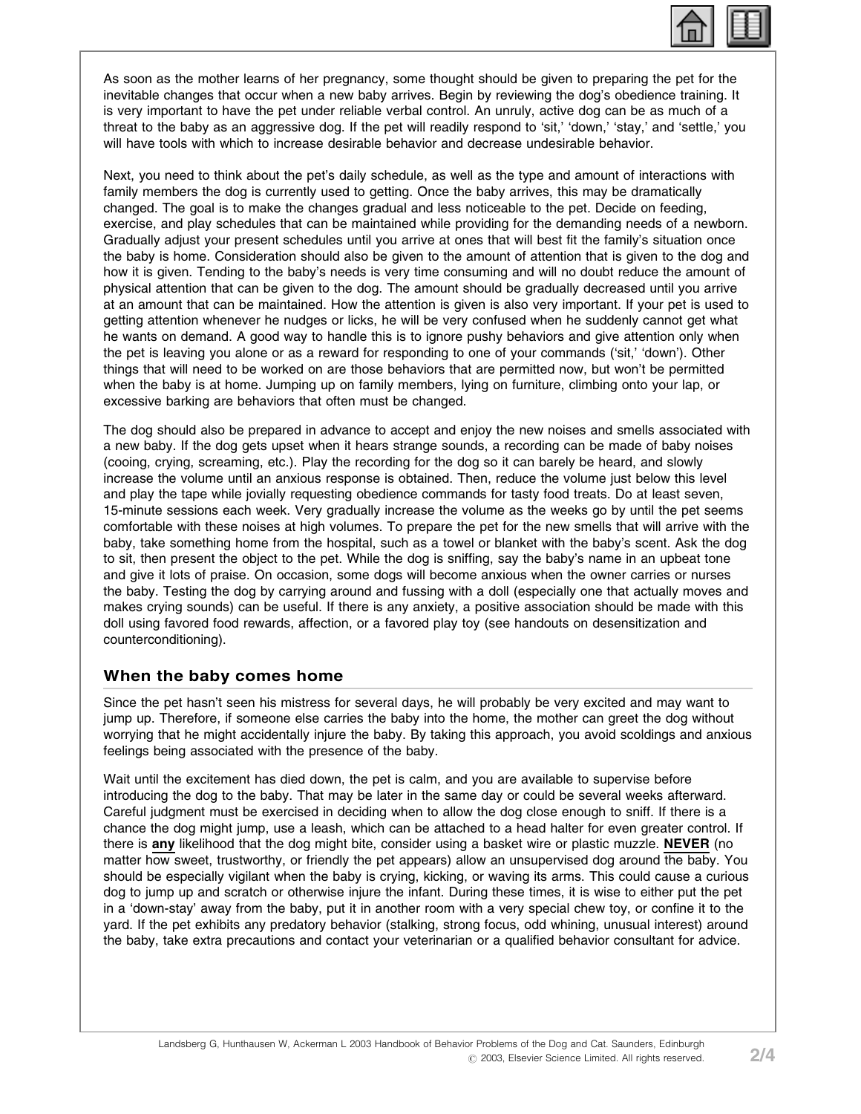

As soon as the mother learns of her pregnancy, some thought should be given to preparing the pet for the inevitable changes that occur when a new baby arrives. Begin by reviewing the dog's obedience training. It is very important to have the pet under reliable verbal control. An unruly, active dog can be as much of a threat to the baby as an aggressive dog. If the pet will readily respond to 'sit,' 'down,' 'stay,' and 'settle,' you will have tools with which to increase desirable behavior and decrease undesirable behavior.

Next, you need to think about the pet's daily schedule, as well as the type and amount of interactions with family members the dog is currently used to getting. Once the baby arrives, this may be dramatically changed. The goal is to make the changes gradual and less noticeable to the pet. Decide on feeding, exercise, and play schedules that can be maintained while providing for the demanding needs of a newborn. Gradually adjust your present schedules until you arrive at ones that will best fit the family's situation once the baby is home. Consideration should also be given to the amount of attention that is given to the dog and how it is given. Tending to the baby's needs is very time consuming and will no doubt reduce the amount of physical attention that can be given to the dog. The amount should be gradually decreased until you arrive at an amount that can be maintained. How the attention is given is also very important. If your pet is used to getting attention whenever he nudges or licks, he will be very confused when he suddenly cannot get what he wants on demand. A good way to handle this is to ignore pushy behaviors and give attention only when the pet is leaving you alone or as a reward for responding to one of your commands ('sit,' 'down'). Other things that will need to be worked on are those behaviors that are permitted now, but won't be permitted when the baby is at home. Jumping up on family members, lying on furniture, climbing onto your lap, or excessive barking are behaviors that often must be changed.

The dog should also be prepared in advance to accept and enjoy the new noises and smells associated with a new baby. If the dog gets upset when it hears strange sounds, a recording can be made of baby noises (cooing, crying, screaming, etc.). Play the recording for the dog so it can barely be heard, and slowly increase the volume until an anxious response is obtained. Then, reduce the volume just below this level and play the tape while jovially requesting obedience commands for tasty food treats. Do at least seven, 15-minute sessions each week. Very gradually increase the volume as the weeks go by until the pet seems comfortable with these noises at high volumes. To prepare the pet for the new smells that will arrive with the baby, take something home from the hospital, such as a towel or blanket with the baby's scent. Ask the dog to sit, then present the object to the pet. While the dog is sniffing, say the baby's name in an upbeat tone and give it lots of praise. On occasion, some dogs will become anxious when the owner carries or nurses the baby. Testing the dog by carrying around and fussing with a doll (especially one that actually moves and makes crying sounds) can be useful. If there is any anxiety, a positive association should be made with this doll using favored food rewards, affection, or a favored play toy (see handouts on desensitization and counterconditioning).

#### When the baby comes home

Since the pet hasn't seen his mistress for several days, he will probably be very excited and may want to jump up. Therefore, if someone else carries the baby into the home, the mother can greet the dog without worrying that he might accidentally injure the baby. By taking this approach, you avoid scoldings and anxious feelings being associated with the presence of the baby.

Wait until the excitement has died down, the pet is calm, and you are available to supervise before introducing the dog to the baby. That may be later in the same day or could be several weeks afterward. Careful judgment must be exercised in deciding when to allow the dog close enough to sniff. If there is a chance the dog might jump, use a leash, which can be attached to a head halter for even greater control. If there is any likelihood that the dog might bite, consider using a basket wire or plastic muzzle. NEVER (no matter how sweet, trustworthy, or friendly the pet appears) allow an unsupervised dog around the baby. You should be especially vigilant when the baby is crying, kicking, or waving its arms. This could cause a curious dog to jump up and scratch or otherwise injure the infant. During these times, it is wise to either put the pet in a 'down-stay' away from the baby, put it in another room with a very special chew toy, or confine it to the yard. If the pet exhibits any predatory behavior (stalking, strong focus, odd whining, unusual interest) around the baby, take extra precautions and contact your veterinarian or a qualified behavior consultant for advice.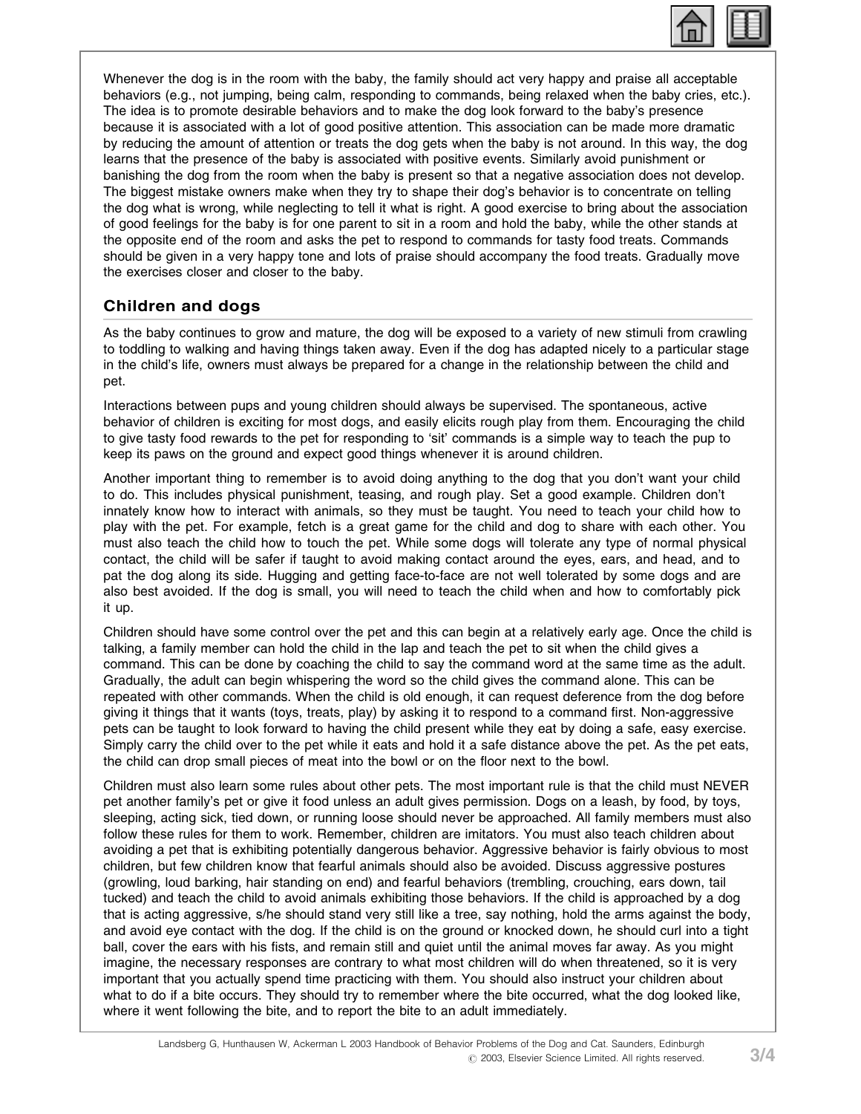

Whenever the dog is in the room with the baby, the family should act very happy and praise all acceptable behaviors (e.g., not jumping, being calm, responding to commands, being relaxed when the baby cries, etc.). The idea is to promote desirable behaviors and to make the dog look forward to the baby's presence because it is associated with a lot of good positive attention. This association can be made more dramatic by reducing the amount of attention or treats the dog gets when the baby is not around. In this way, the dog learns that the presence of the baby is associated with positive events. Similarly avoid punishment or banishing the dog from the room when the baby is present so that a negative association does not develop. The biggest mistake owners make when they try to shape their dog's behavior is to concentrate on telling the dog what is wrong, while neglecting to tell it what is right. A good exercise to bring about the association of good feelings for the baby is for one parent to sit in a room and hold the baby, while the other stands at the opposite end of the room and asks the pet to respond to commands for tasty food treats. Commands should be given in a very happy tone and lots of praise should accompany the food treats. Gradually move the exercises closer and closer to the baby.

# Children and dogs

As the baby continues to grow and mature, the dog will be exposed to a variety of new stimuli from crawling to toddling to walking and having things taken away. Even if the dog has adapted nicely to a particular stage in the child's life, owners must always be prepared for a change in the relationship between the child and pet.

Interactions between pups and young children should always be supervised. The spontaneous, active behavior of children is exciting for most dogs, and easily elicits rough play from them. Encouraging the child to give tasty food rewards to the pet for responding to 'sit' commands is a simple way to teach the pup to keep its paws on the ground and expect good things whenever it is around children.

Another important thing to remember is to avoid doing anything to the dog that you don't want your child to do. This includes physical punishment, teasing, and rough play. Set a good example. Children don't innately know how to interact with animals, so they must be taught. You need to teach your child how to play with the pet. For example, fetch is a great game for the child and dog to share with each other. You must also teach the child how to touch the pet. While some dogs will tolerate any type of normal physical contact, the child will be safer if taught to avoid making contact around the eyes, ears, and head, and to pat the dog along its side. Hugging and getting face-to-face are not well tolerated by some dogs and are also best avoided. If the dog is small, you will need to teach the child when and how to comfortably pick it up.

Children should have some control over the pet and this can begin at a relatively early age. Once the child is talking, a family member can hold the child in the lap and teach the pet to sit when the child gives a command. This can be done by coaching the child to say the command word at the same time as the adult. Gradually, the adult can begin whispering the word so the child gives the command alone. This can be repeated with other commands. When the child is old enough, it can request deference from the dog before giving it things that it wants (toys, treats, play) by asking it to respond to a command first. Non-aggressive pets can be taught to look forward to having the child present while they eat by doing a safe, easy exercise. Simply carry the child over to the pet while it eats and hold it a safe distance above the pet. As the pet eats, the child can drop small pieces of meat into the bowl or on the floor next to the bowl.

Children must also learn some rules about other pets. The most important rule is that the child must NEVER pet another family's pet or give it food unless an adult gives permission. Dogs on a leash, by food, by toys, sleeping, acting sick, tied down, or running loose should never be approached. All family members must also follow these rules for them to work. Remember, children are imitators. You must also teach children about avoiding a pet that is exhibiting potentially dangerous behavior. Aggressive behavior is fairly obvious to most children, but few children know that fearful animals should also be avoided. Discuss aggressive postures (growling, loud barking, hair standing on end) and fearful behaviors (trembling, crouching, ears down, tail tucked) and teach the child to avoid animals exhibiting those behaviors. If the child is approached by a dog that is acting aggressive, s/he should stand very still like a tree, say nothing, hold the arms against the body, and avoid eye contact with the dog. If the child is on the ground or knocked down, he should curl into a tight ball, cover the ears with his fists, and remain still and quiet until the animal moves far away. As you might imagine, the necessary responses are contrary to what most children will do when threatened, so it is very important that you actually spend time practicing with them. You should also instruct your children about what to do if a bite occurs. They should try to remember where the bite occurred, what the dog looked like, where it went following the bite, and to report the bite to an adult immediately.